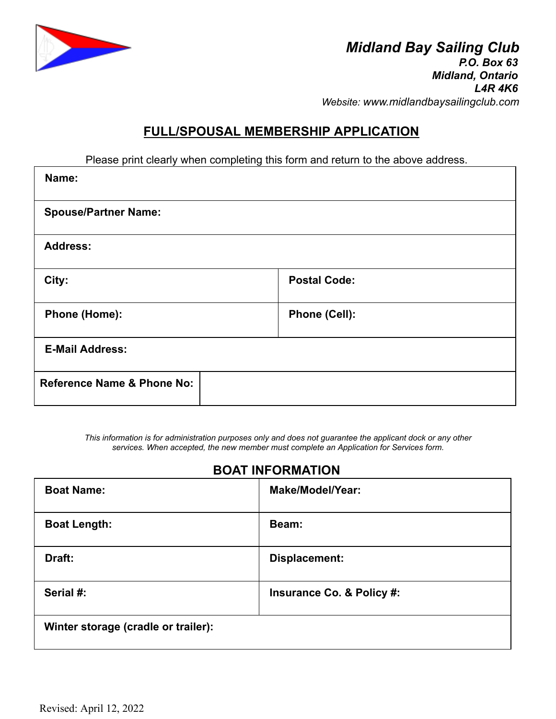

# **FULL/SPOUSAL MEMBERSHIP APPLICATION**

Please print clearly when completing this form and return to the above address.

| Name:                                 |                     |
|---------------------------------------|---------------------|
| <b>Spouse/Partner Name:</b>           |                     |
| <b>Address:</b>                       |                     |
| City:                                 | <b>Postal Code:</b> |
| Phone (Home):                         | Phone (Cell):       |
| <b>E-Mail Address:</b>                |                     |
| <b>Reference Name &amp; Phone No:</b> |                     |

*This information is for administration purposes only and does not guarantee the applicant dock or any other services. When accepted, the new member must complete an Application for Services form.*

# **BOAT INFORMATION**

| <b>Boat Name:</b>                   | <b>Make/Model/Year:</b>   |
|-------------------------------------|---------------------------|
| <b>Boat Length:</b>                 | Beam:                     |
| Draft:                              | Displacement:             |
| Serial #:                           | Insurance Co. & Policy #: |
| Winter storage (cradle or trailer): |                           |